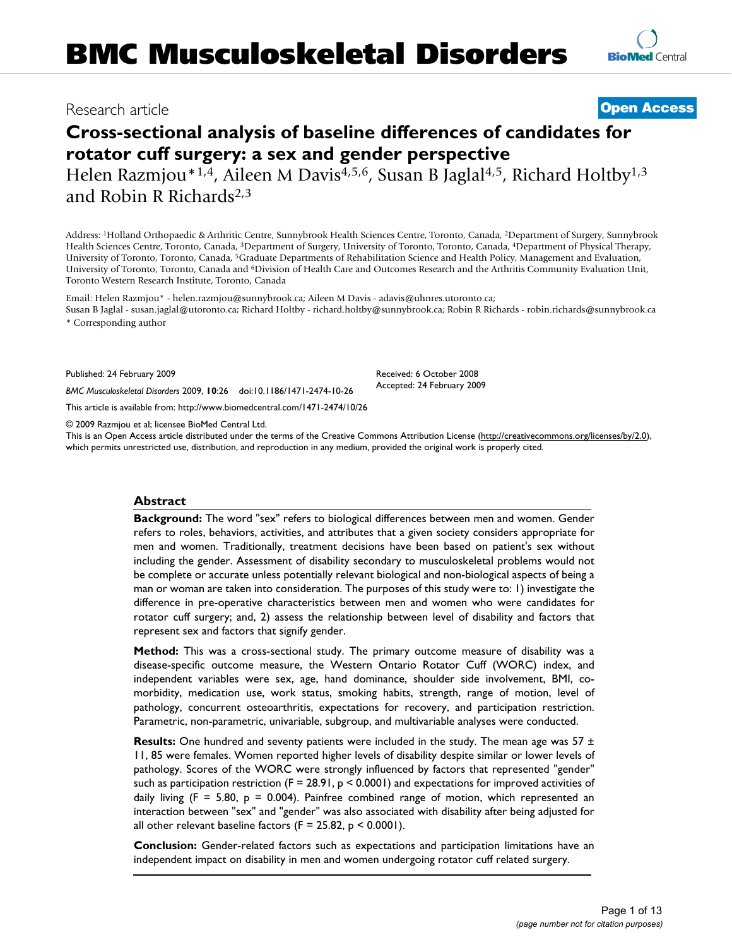# **Cross-sectional analysis of baseline differences of candidates for rotator cuff surgery: a sex and gender perspective**

Helen Razmjou\*<sup>1,4</sup>, Aileen M Davis<sup>4,5,6</sup>, Susan B Jaglal<sup>4,5</sup>, Richard Holtby<sup>1,3</sup> and Robin R Richards<sup>2,3</sup>

Address: 1Holland Orthopaedic & Arthritic Centre, Sunnybrook Health Sciences Centre, Toronto, Canada, 2Department of Surgery, Sunnybrook Health Sciences Centre, Toronto, Canada, 3Department of Surgery, University of Toronto, Toronto, Canada, 4Department of Physical Therapy, University of Toronto, Toronto, Canada, 5Graduate Departments of Rehabilitation Science and Health Policy, Management and Evaluation, University of Toronto, Toronto, Canada and 6Division of Health Care and Outcomes Research and the Arthritis Community Evaluation Unit, Toronto Western Research Institute, Toronto, Canada

Email: Helen Razmjou\* - helen.razmjou@sunnybrook.ca; Aileen M Davis - adavis@uhnres.utoronto.ca; Susan B Jaglal - susan.jaglal@utoronto.ca; Richard Holtby - richard.holtby@sunnybrook.ca; Robin R Richards - robin.richards@sunnybrook.ca \* Corresponding author

Published: 24 February 2009

*BMC Musculoskeletal Disorders* 2009, **10**:26 doi:10.1186/1471-2474-10-26

[This article is available from: http://www.biomedcentral.com/1471-2474/10/26](http://www.biomedcentral.com/1471-2474/10/26)

© 2009 Razmjou et al; licensee BioMed Central Ltd.

This is an Open Access article distributed under the terms of the Creative Commons Attribution License [\(http://creativecommons.org/licenses/by/2.0\)](http://creativecommons.org/licenses/by/2.0), which permits unrestricted use, distribution, and reproduction in any medium, provided the original work is properly cited.

#### **Abstract**

**Background:** The word "sex" refers to biological differences between men and women. Gender refers to roles, behaviors, activities, and attributes that a given society considers appropriate for men and women. Traditionally, treatment decisions have been based on patient's sex without including the gender. Assessment of disability secondary to musculoskeletal problems would not be complete or accurate unless potentially relevant biological and non-biological aspects of being a man or woman are taken into consideration. The purposes of this study were to: 1) investigate the difference in pre-operative characteristics between men and women who were candidates for rotator cuff surgery; and, 2) assess the relationship between level of disability and factors that represent sex and factors that signify gender.

**Method:** This was a cross-sectional study. The primary outcome measure of disability was a disease-specific outcome measure, the Western Ontario Rotator Cuff (WORC) index, and independent variables were sex, age, hand dominance, shoulder side involvement, BMI, comorbidity, medication use, work status, smoking habits, strength, range of motion, level of pathology, concurrent osteoarthritis, expectations for recovery, and participation restriction. Parametric, non-parametric, univariable, subgroup, and multivariable analyses were conducted.

**Results:** One hundred and seventy patients were included in the study. The mean age was 57 ± 11, 85 were females. Women reported higher levels of disability despite similar or lower levels of pathology. Scores of the WORC were strongly influenced by factors that represented "gender" such as participation restriction ( $F = 28.91$ ,  $p < 0.0001$ ) and expectations for improved activities of daily living (F = 5.80,  $p = 0.004$ ). Painfree combined range of motion, which represented an interaction between "sex" and "gender" was also associated with disability after being adjusted for all other relevant baseline factors ( $F = 25.82$ ,  $p < 0.0001$ ).

**Conclusion:** Gender-related factors such as expectations and participation limitations have an independent impact on disability in men and women undergoing rotator cuff related surgery.

Received: 6 October 2008 Accepted: 24 February 2009

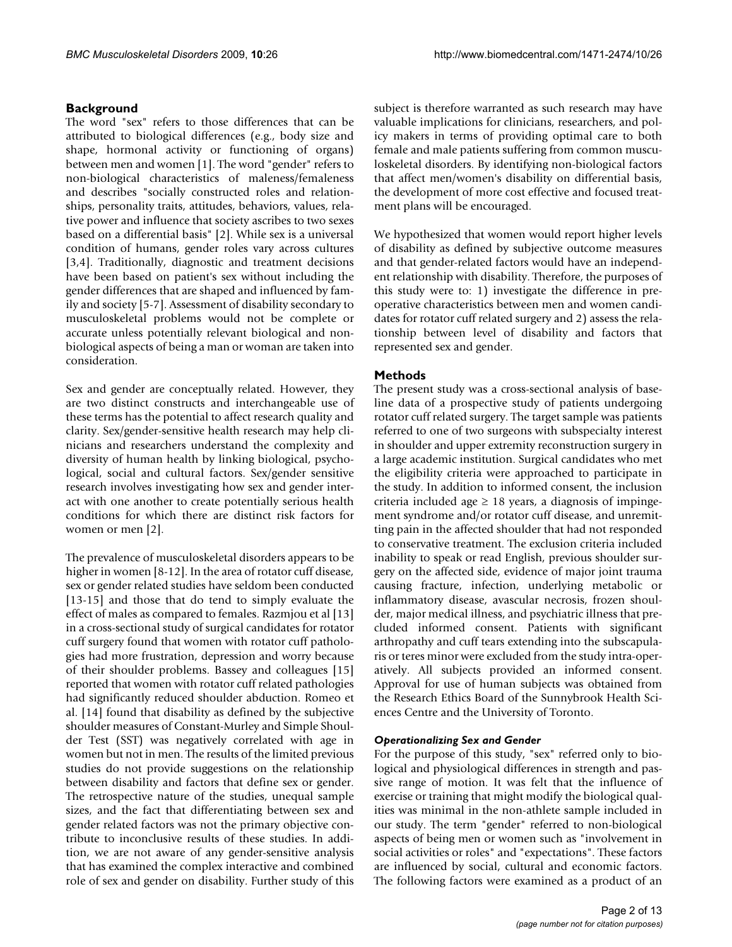# **Background**

The word "sex" refers to those differences that can be attributed to biological differences (e.g., body size and shape, hormonal activity or functioning of organs) between men and women [[1](#page-11-0)]. The word "gender" refers to non-biological characteristics of maleness/femaleness and describes "socially constructed roles and relationships, personality traits, attitudes, behaviors, values, relative power and influence that society ascribes to two sexes based on a differential basis" [[2](#page-11-1)]. While sex is a universal condition of humans, gender roles vary across cultures [[3](#page-12-0)[,4\]](#page-12-1). Traditionally, diagnostic and treatment decisions have been based on patient's sex without including the gender differences that are shaped and influenced by family and society [[5](#page-12-2)[-7\]](#page-12-3). Assessment of disability secondary to musculoskeletal problems would not be complete or accurate unless potentially relevant biological and nonbiological aspects of being a man or woman are taken into consideration.

Sex and gender are conceptually related. However, they are two distinct constructs and interchangeable use of these terms has the potential to affect research quality and clarity. Sex/gender-sensitive health research may help clinicians and researchers understand the complexity and diversity of human health by linking biological, psychological, social and cultural factors. Sex/gender sensitive research involves investigating how sex and gender interact with one another to create potentially serious health conditions for which there are distinct risk factors for women or men [[2](#page-11-1)].

The prevalence of musculoskeletal disorders appears to be higher in women [[8](#page-12-4)[-12](#page-12-5)]. In the area of rotator cuff disease, sex or gender related studies have seldom been conducted [[13](#page-12-6)[-15](#page-12-7)] and those that do tend to simply evaluate the effect of males as compared to females. Razmjou et al [[13\]](#page-12-6) in a cross-sectional study of surgical candidates for rotator cuff surgery found that women with rotator cuff pathologies had more frustration, depression and worry because of their shoulder problems. Bassey and colleagues [[15\]](#page-12-7) reported that women with rotator cuff related pathologies had significantly reduced shoulder abduction. Romeo et al. [[14](#page-12-8)] found that disability as defined by the subjective shoulder measures of Constant-Murley and Simple Shoulder Test (SST) was negatively correlated with age in women but not in men. The results of the limited previous studies do not provide suggestions on the relationship between disability and factors that define sex or gender. The retrospective nature of the studies, unequal sample sizes, and the fact that differentiating between sex and gender related factors was not the primary objective contribute to inconclusive results of these studies. In addition, we are not aware of any gender-sensitive analysis that has examined the complex interactive and combined role of sex and gender on disability. Further study of this subject is therefore warranted as such research may have valuable implications for clinicians, researchers, and policy makers in terms of providing optimal care to both female and male patients suffering from common musculoskeletal disorders. By identifying non-biological factors that affect men/women's disability on differential basis, the development of more cost effective and focused treatment plans will be encouraged.

We hypothesized that women would report higher levels of disability as defined by subjective outcome measures and that gender-related factors would have an independent relationship with disability. Therefore, the purposes of this study were to: 1) investigate the difference in preoperative characteristics between men and women candidates for rotator cuff related surgery and 2) assess the relationship between level of disability and factors that represented sex and gender.

# **Methods**

The present study was a cross-sectional analysis of baseline data of a prospective study of patients undergoing rotator cuff related surgery. The target sample was patients referred to one of two surgeons with subspecialty interest in shoulder and upper extremity reconstruction surgery in a large academic institution. Surgical candidates who met the eligibility criteria were approached to participate in the study. In addition to informed consent, the inclusion criteria included age  $\geq$  18 years, a diagnosis of impingement syndrome and/or rotator cuff disease, and unremitting pain in the affected shoulder that had not responded to conservative treatment. The exclusion criteria included inability to speak or read English, previous shoulder surgery on the affected side, evidence of major joint trauma causing fracture, infection, underlying metabolic or inflammatory disease, avascular necrosis, frozen shoulder, major medical illness, and psychiatric illness that precluded informed consent. Patients with significant arthropathy and cuff tears extending into the subscapularis or teres minor were excluded from the study intra-operatively. All subjects provided an informed consent. Approval for use of human subjects was obtained from the Research Ethics Board of the Sunnybrook Health Sciences Centre and the University of Toronto.

# *Operationalizing Sex and Gender*

For the purpose of this study, "sex" referred only to biological and physiological differences in strength and passive range of motion. It was felt that the influence of exercise or training that might modify the biological qualities was minimal in the non-athlete sample included in our study. The term "gender" referred to non-biological aspects of being men or women such as "involvement in social activities or roles" and "expectations". These factors are influenced by social, cultural and economic factors. The following factors were examined as a product of an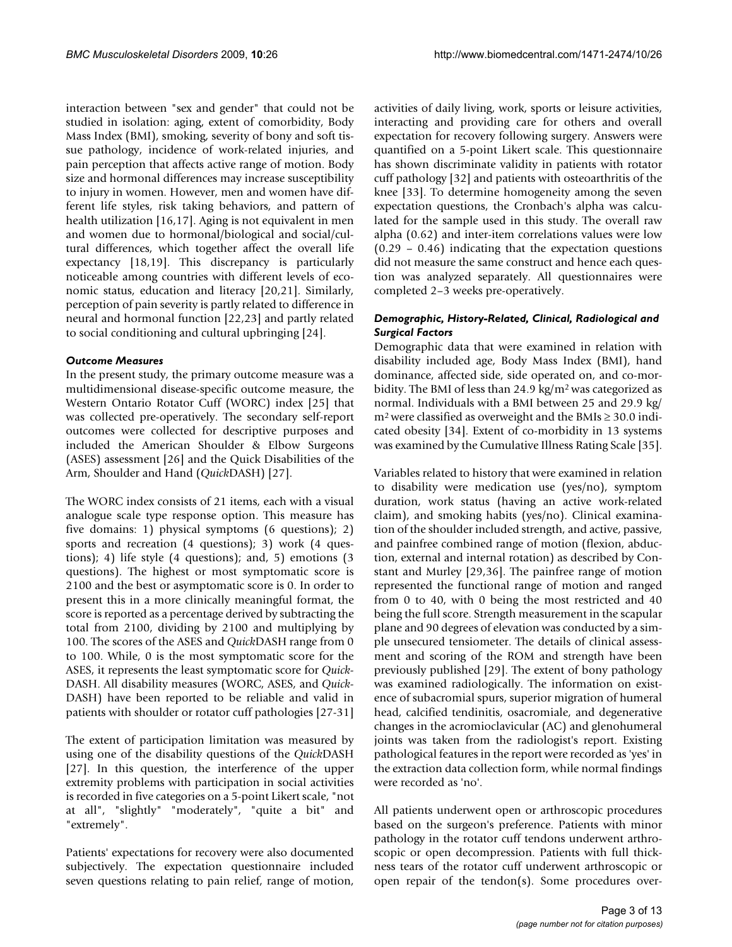interaction between "sex and gender" that could not be studied in isolation: aging, extent of comorbidity, Body Mass Index (BMI), smoking, severity of bony and soft tissue pathology, incidence of work-related injuries, and pain perception that affects active range of motion. Body size and hormonal differences may increase susceptibility to injury in women. However, men and women have different life styles, risk taking behaviors, and pattern of health utilization [\[16](#page-12-9)[,17](#page-12-10)]. Aging is not equivalent in men and women due to hormonal/biological and social/cultural differences, which together affect the overall life expectancy [\[18](#page-12-11),[19](#page-12-12)]. This discrepancy is particularly noticeable among countries with different levels of economic status, education and literacy [\[20](#page-12-13),[21\]](#page-12-14). Similarly, perception of pain severity is partly related to difference in neural and hormonal function [\[22](#page-12-15)[,23](#page-12-16)] and partly related to social conditioning and cultural upbringing [\[24\]](#page-12-17).

### *Outcome Measures*

In the present study, the primary outcome measure was a multidimensional disease-specific outcome measure, the Western Ontario Rotator Cuff (WORC) index [\[25\]](#page-12-18) that was collected pre-operatively. The secondary self-report outcomes were collected for descriptive purposes and included the American Shoulder & Elbow Surgeons (ASES) assessment [[26\]](#page-12-19) and the Quick Disabilities of the Arm, Shoulder and Hand (*Quick*DASH) [[27\]](#page-12-20).

The WORC index consists of 21 items, each with a visual analogue scale type response option. This measure has five domains: 1) physical symptoms (6 questions); 2) sports and recreation (4 questions); 3) work (4 questions); 4) life style (4 questions); and, 5) emotions (3 questions). The highest or most symptomatic score is 2100 and the best or asymptomatic score is 0. In order to present this in a more clinically meaningful format, the score is reported as a percentage derived by subtracting the total from 2100, dividing by 2100 and multiplying by 100. The scores of the ASES and *Quick*DASH range from 0 to 100. While, 0 is the most symptomatic score for the ASES, it represents the least symptomatic score for *Quick*-DASH. All disability measures (WORC, ASES, and *Quick*-DASH) have been reported to be reliable and valid in patients with shoulder or rotator cuff pathologies [[27-](#page-12-20)[31\]](#page-12-21)

The extent of participation limitation was measured by using one of the disability questions of the *Quick*DASH [[27](#page-12-20)]. In this question, the interference of the upper extremity problems with participation in social activities is recorded in five categories on a 5-point Likert scale, "not at all", "slightly" "moderately", "quite a bit" and "extremely".

Patients' expectations for recovery were also documented subjectively. The expectation questionnaire included seven questions relating to pain relief, range of motion,

activities of daily living, work, sports or leisure activities, interacting and providing care for others and overall expectation for recovery following surgery. Answers were quantified on a 5-point Likert scale. This questionnaire has shown discriminate validity in patients with rotator cuff pathology [[32](#page-12-22)] and patients with osteoarthritis of the knee [[33\]](#page-12-23). To determine homogeneity among the seven expectation questions, the Cronbach's alpha was calculated for the sample used in this study. The overall raw alpha (0.62) and inter-item correlations values were low (0.29 – 0.46) indicating that the expectation questions did not measure the same construct and hence each question was analyzed separately. All questionnaires were completed 2–3 weeks pre-operatively.

# *Demographic, History-Related, Clinical, Radiological and Surgical Factors*

Demographic data that were examined in relation with disability included age, Body Mass Index (BMI), hand dominance, affected side, side operated on, and co-morbidity. The BMI of less than 24.9 kg/m2 was categorized as normal. Individuals with a BMI between 25 and 29.9 kg/ m<sup>2</sup> were classified as overweight and the BMIs  $\geq$  30.0 indicated obesity [\[34](#page-12-24)]. Extent of co-morbidity in 13 systems was examined by the Cumulative Illness Rating Scale [\[35](#page-12-25)].

Variables related to history that were examined in relation to disability were medication use (yes/no), symptom duration, work status (having an active work-related claim), and smoking habits (yes/no). Clinical examination of the shoulder included strength, and active, passive, and painfree combined range of motion (flexion, abduction, external and internal rotation) as described by Constant and Murley [\[29,](#page-12-26)[36](#page-12-27)]. The painfree range of motion represented the functional range of motion and ranged from 0 to 40, with 0 being the most restricted and 40 being the full score. Strength measurement in the scapular plane and 90 degrees of elevation was conducted by a simple unsecured tensiometer. The details of clinical assessment and scoring of the ROM and strength have been previously published [\[29](#page-12-26)]. The extent of bony pathology was examined radiologically. The information on existence of subacromial spurs, superior migration of humeral head, calcified tendinitis, osacromiale, and degenerative changes in the acromioclavicular (AC) and glenohumeral joints was taken from the radiologist's report. Existing pathological features in the report were recorded as 'yes' in the extraction data collection form, while normal findings were recorded as 'no'.

All patients underwent open or arthroscopic procedures based on the surgeon's preference. Patients with minor pathology in the rotator cuff tendons underwent arthroscopic or open decompression. Patients with full thickness tears of the rotator cuff underwent arthroscopic or open repair of the tendon(s). Some procedures over-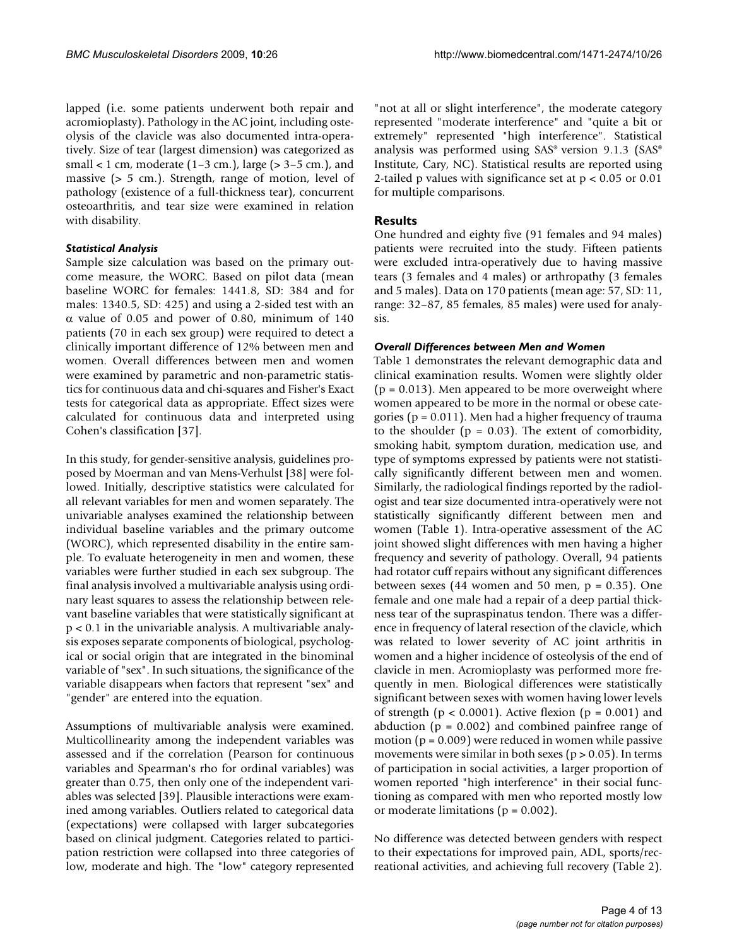lapped (i.e. some patients underwent both repair and acromioplasty). Pathology in the AC joint, including osteolysis of the clavicle was also documented intra-operatively. Size of tear (largest dimension) was categorized as small < 1 cm, moderate  $(1-3$  cm.), large  $(> 3-5$  cm.), and massive (> 5 cm.). Strength, range of motion, level of pathology (existence of a full-thickness tear), concurrent osteoarthritis, and tear size were examined in relation with disability.

#### *Statistical Analysis*

Sample size calculation was based on the primary outcome measure, the WORC. Based on pilot data (mean baseline WORC for females: 1441.8, SD: 384 and for males: 1340.5, SD: 425) and using a 2-sided test with an α value of 0.05 and power of 0.80, minimum of 140 patients (70 in each sex group) were required to detect a clinically important difference of 12% between men and women. Overall differences between men and women were examined by parametric and non-parametric statistics for continuous data and chi-squares and Fisher's Exact tests for categorical data as appropriate. Effect sizes were calculated for continuous data and interpreted using Cohen's classification [\[37\]](#page-12-28).

In this study, for gender-sensitive analysis, guidelines proposed by Moerman and van Mens-Verhulst [\[38](#page-12-29)] were followed. Initially, descriptive statistics were calculated for all relevant variables for men and women separately. The univariable analyses examined the relationship between individual baseline variables and the primary outcome (WORC), which represented disability in the entire sample. To evaluate heterogeneity in men and women, these variables were further studied in each sex subgroup. The final analysis involved a multivariable analysis using ordinary least squares to assess the relationship between relevant baseline variables that were statistically significant at p < 0.1 in the univariable analysis. A multivariable analysis exposes separate components of biological, psychological or social origin that are integrated in the binominal variable of "sex". In such situations, the significance of the variable disappears when factors that represent "sex" and "gender" are entered into the equation.

Assumptions of multivariable analysis were examined. Multicollinearity among the independent variables was assessed and if the correlation (Pearson for continuous variables and Spearman's rho for ordinal variables) was greater than 0.75, then only one of the independent variables was selected [\[39](#page-12-30)]. Plausible interactions were examined among variables. Outliers related to categorical data (expectations) were collapsed with larger subcategories based on clinical judgment. Categories related to participation restriction were collapsed into three categories of low, moderate and high. The "low" category represented

"not at all or slight interference", the moderate category represented "moderate interference" and "quite a bit or extremely" represented "high interference". Statistical analysis was performed using SAS® version 9.1.3 (SAS® Institute, Cary, NC). Statistical results are reported using 2-tailed p values with significance set at p < 0.05 or 0.01 for multiple comparisons.

## **Results**

One hundred and eighty five (91 females and 94 males) patients were recruited into the study. Fifteen patients were excluded intra-operatively due to having massive tears (3 females and 4 males) or arthropathy (3 females and 5 males). Data on 170 patients (mean age: 57, SD: 11, range: 32–87, 85 females, 85 males) were used for analysis.

#### *Overall Differences between Men and Women*

Table [1](#page-4-0) demonstrates the relevant demographic data and clinical examination results. Women were slightly older  $(p = 0.013)$ . Men appeared to be more overweight where women appeared to be more in the normal or obese categories ( $p = 0.011$ ). Men had a higher frequency of trauma to the shoulder ( $p = 0.03$ ). The extent of comorbidity, smoking habit, symptom duration, medication use, and type of symptoms expressed by patients were not statistically significantly different between men and women. Similarly, the radiological findings reported by the radiologist and tear size documented intra-operatively were not statistically significantly different between men and women (Table [1\)](#page-4-0). Intra-operative assessment of the AC joint showed slight differences with men having a higher frequency and severity of pathology. Overall, 94 patients had rotator cuff repairs without any significant differences between sexes (44 women and 50 men,  $p = 0.35$ ). One female and one male had a repair of a deep partial thickness tear of the supraspinatus tendon. There was a difference in frequency of lateral resection of the clavicle, which was related to lower severity of AC joint arthritis in women and a higher incidence of osteolysis of the end of clavicle in men. Acromioplasty was performed more frequently in men. Biological differences were statistically significant between sexes with women having lower levels of strength ( $p < 0.0001$ ). Active flexion ( $p = 0.001$ ) and abduction ( $p = 0.002$ ) and combined painfree range of motion ( $p = 0.009$ ) were reduced in women while passive movements were similar in both sexes ( $p > 0.05$ ). In terms of participation in social activities, a larger proportion of women reported "high interference" in their social functioning as compared with men who reported mostly low or moderate limitations ( $p = 0.002$ ).

No difference was detected between genders with respect to their expectations for improved pain, ADL, sports/recreational activities, and achieving full recovery (Table [2\)](#page-5-0).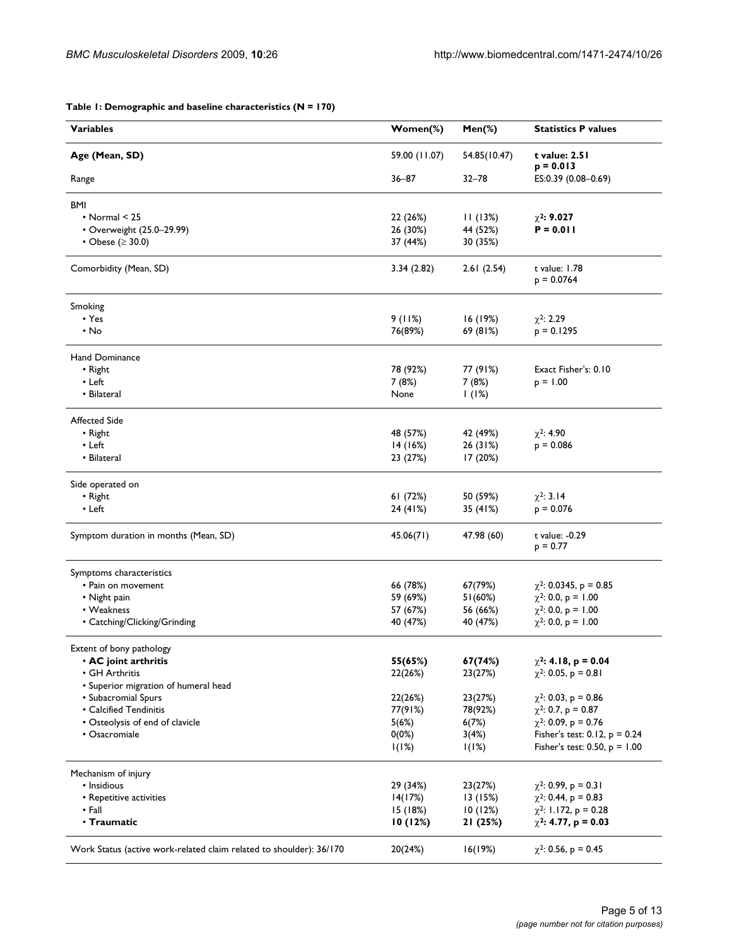| <b>Variables</b>                                                    | $Women(\%)$   | $Men(\%)$    | <b>Statistics P values</b>         |
|---------------------------------------------------------------------|---------------|--------------|------------------------------------|
| Age (Mean, SD)                                                      | 59.00 (11.07) | 54.85(10.47) | t value: 2.51<br>$p = 0.013$       |
| Range                                                               | $36 - 87$     | $32 - 78$    | ES:0.39 (0.08-0.69)                |
| <b>BMI</b>                                                          |               |              |                                    |
| $\cdot$ Normal $\leq$ 25                                            | 22 (26%)      | 11(13%)      | $\chi^2$ : 9.027                   |
| • Overweight (25.0-29.99)                                           | 26 (30%)      | 44 (52%)     | $P = 0.011$                        |
| • Obese ( $\geq$ 30.0)                                              | 37 (44%)      | 30 (35%)     |                                    |
| Comorbidity (Mean, SD)                                              | 3.34(2.82)    | 2.61(2.54)   | t value: 1.78<br>$p = 0.0764$      |
| Smoking                                                             |               |              |                                    |
| $\cdot$ Yes                                                         | 9(11%)        | 16(19%)      | $\chi^2$ : 2.29                    |
| $\cdot$ No                                                          | 76(89%)       | 69 (81%)     | $p = 0.1295$                       |
| Hand Dominance                                                      |               |              |                                    |
| • Right                                                             | 78 (92%)      | 77 (91%)     | Exact Fisher's: 0.10               |
| $\cdot$ Left                                                        | 7 (8%)        | 7(8%)        | $p = 1.00$                         |
| • Bilateral                                                         | None          | 1(1%)        |                                    |
| <b>Affected Side</b>                                                |               |              |                                    |
| • Right                                                             | 48 (57%)      | 42 (49%)     | $\chi^2$ : 4.90                    |
| • Left                                                              | 14 (16%)      | 26 (31%)     | $p = 0.086$                        |
| • Bilateral                                                         | 23 (27%)      | 17 (20%)     |                                    |
| Side operated on                                                    |               |              |                                    |
| • Right                                                             | 61(72%)       | 50 (59%)     | $\chi^2$ : 3.14                    |
| $\cdot$ Left                                                        | 24 (41%)      | 35 (41%)     | $p = 0.076$                        |
| Symptom duration in months (Mean, SD)                               | 45.06(71)     | 47.98 (60)   | t value: -0.29<br>$p = 0.77$       |
| Symptoms characteristics                                            |               |              |                                    |
| • Pain on movement                                                  | 66 (78%)      | 67(79%)      | $\chi^2$ : 0.0345, p = 0.85        |
| • Night pain                                                        | 59 (69%)      | 51(60%)      | $\chi^2$ : 0.0, p = 1.00           |
| • Weakness                                                          | 57 (67%)      | 56 (66%)     | $\chi^2$ : 0.0, p = 1.00           |
| • Catching/Clicking/Grinding                                        | 40 (47%)      | 40 (47%)     | $\chi^2$ : 0.0, p = 1.00           |
| Extent of bony pathology                                            |               |              |                                    |
| • AC joint arthritis                                                | 55(65%)       | 67(74%)      | $\chi^2$ : 4.18, p = 0.04          |
| • GH Arthritis                                                      | 22(26%)       | 23(27%)      | $\chi^2$ : 0.05, p = 0.81          |
| • Superior migration of humeral head                                |               |              |                                    |
| • Subacromial Spurs                                                 | 22(26%)       | 23(27%)      | $\chi^2$ : 0.03, p = 0.86          |
| • Calcified Tendinitis                                              | 77(91%)       | 78(92%)      | $\chi^2$ : 0.7, p = 0.87           |
| • Osteolysis of end of clavicle                                     | 5(6%)         | 6(7%)        | $\chi^2$ : 0.09, p = 0.76          |
| • Osacromiale                                                       | 0(0%)         | 3(4%)        | Fisher's test: $0.12$ , $p = 0.24$ |
|                                                                     | I(1%)         | I(1%)        | Fisher's test: 0.50, $p = 1.00$    |
| Mechanism of injury                                                 |               |              |                                    |
| • Insidious                                                         | 29 (34%)      | 23(27%)      | $\chi^2$ : 0.99, p = 0.31          |
| • Repetitive activities                                             | 14(17%)       | 13(15%)      | $\chi^2$ : 0.44, p = 0.83          |
| $\cdot$ Fall                                                        | 15 (18%)      | 10(12%)      | $\chi^2$ : 1.172, p = 0.28         |
| · Traumatic                                                         | 10(12%)       | 21 (25%)     | $\chi^2$ : 4.77, p = 0.03          |
| Work Status (active work-related claim related to shoulder): 36/170 | 20(24%)       | 16(19%)      | $\chi^2$ : 0.56, p = 0.45          |

<span id="page-4-0"></span>**Table 1: Demographic and baseline characteristics (N = 170)**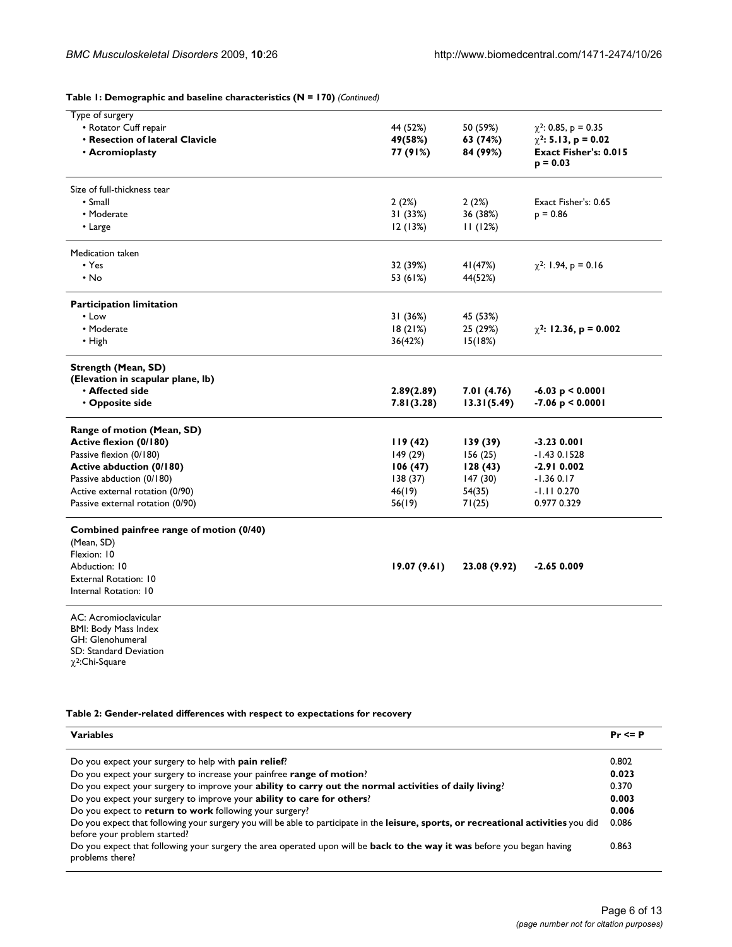**Table 1: Demographic and baseline characteristics (N = 170)** *(Continued)*

| Type of surgery                                                               |             |              |                              |            |
|-------------------------------------------------------------------------------|-------------|--------------|------------------------------|------------|
| • Rotator Cuff repair                                                         | 44 (52%)    | 50 (59%)     | $\chi^2$ : 0.85, p = 0.35    |            |
| . Resection of lateral Clavicle                                               | 49(58%)     | 63 (74%)     | $\chi^2$ : 5.13, p = 0.02    |            |
| · Acromioplasty                                                               | 77 (91%)    | 84 (99%)     | <b>Exact Fisher's: 0.015</b> |            |
|                                                                               |             |              | $p = 0.03$                   |            |
| Size of full-thickness tear                                                   |             |              |                              |            |
| $\cdot$ Small                                                                 | 2(2%)       | 2(2%)        | Exact Fisher's: 0.65         |            |
| • Moderate                                                                    | 31 (33%)    | 36 (38%)     | $p = 0.86$                   |            |
| • Large                                                                       | 12(13%)     | 11(12%)      |                              |            |
| Medication taken                                                              |             |              |                              |            |
| $\cdot$ Yes                                                                   | 32 (39%)    | 41(47%)      | $\chi^2$ : 1.94, p = 0.16    |            |
| • No                                                                          | 53 (61%)    | 44(52%)      |                              |            |
| <b>Participation limitation</b>                                               |             |              |                              |            |
| $\cdot$ Low                                                                   | 31(36%)     | 45 (53%)     |                              |            |
| • Moderate                                                                    | 18(21%)     | 25 (29%)     | $\chi^2$ : 12.36, p = 0.002  |            |
| • High                                                                        | 36(42%)     | 15(18%)      |                              |            |
| Strength (Mean, SD)                                                           |             |              |                              |            |
| (Elevation in scapular plane, lb)                                             |             |              |                              |            |
| • Affected side                                                               | 2.89(2.89)  | 7.01(4.76)   | $-6.03$ p < 0.0001           |            |
| · Opposite side                                                               | 7.81(3.28)  | 13.31(5.49)  | $-7.06$ p < 0.0001           |            |
| Range of motion (Mean, SD)                                                    |             |              |                              |            |
| Active flexion (0/180)                                                        | 119(42)     | 139 (39)     | $-3.230.001$                 |            |
| Passive flexion (0/180)                                                       | 149(29)     | 156(25)      | $-1.430.1528$                |            |
| Active abduction (0/180)                                                      | 106(47)     | 128(43)      | $-2.910.002$                 |            |
| Passive abduction (0/180)                                                     | 138(37)     | 147(30)      | $-1.360.17$                  |            |
| Active external rotation (0/90)                                               | 46(19)      | 54(35)       | $-1.11$ 0.270                |            |
| Passive external rotation (0/90)                                              | 56(19)      | 71(25)       | 0.977 0.329                  |            |
| Combined painfree range of motion (0/40)                                      |             |              |                              |            |
| (Mean, SD)                                                                    |             |              |                              |            |
| Flexion: 10                                                                   |             |              |                              |            |
| Abduction: 10                                                                 | 19.07(9.61) | 23.08 (9.92) | $-2.650.009$                 |            |
| <b>External Rotation: 10</b>                                                  |             |              |                              |            |
| Internal Rotation: 10                                                         |             |              |                              |            |
| AC: Acromioclavicular                                                         |             |              |                              |            |
| <b>BMI: Body Mass Index</b>                                                   |             |              |                              |            |
| GH: Glenohumeral                                                              |             |              |                              |            |
| SD: Standard Deviation<br>$\chi^2$ :Chi-Square                                |             |              |                              |            |
|                                                                               |             |              |                              |            |
| Table 2: Gender-related differences with respect to expectations for recovery |             |              |                              |            |
| <b>Variables</b>                                                              |             |              |                              | $Pr \le P$ |
| Do you expect your surgery to help with pain relief?                          |             |              |                              | 0.802      |

Do you expect your surgery to improve your **ability to care for others**? **0.003**

Do you expect to **return to work** following your surgery? **0.006**  Do you expect that following your surgery you will be able to participate in the **leisure, sports, or recreational activities** you did 0.086 before your problem started?

Do you expect that following your surgery the area operated upon will be **back to the way it was** before you began having problems there? 0.863

<span id="page-5-0"></span>Do you expect your surgery to increase your painfree **range of motion**? **0.023** Do you expect your surgery to improve your **ability to carry out the normal activities of daily living**? 0.370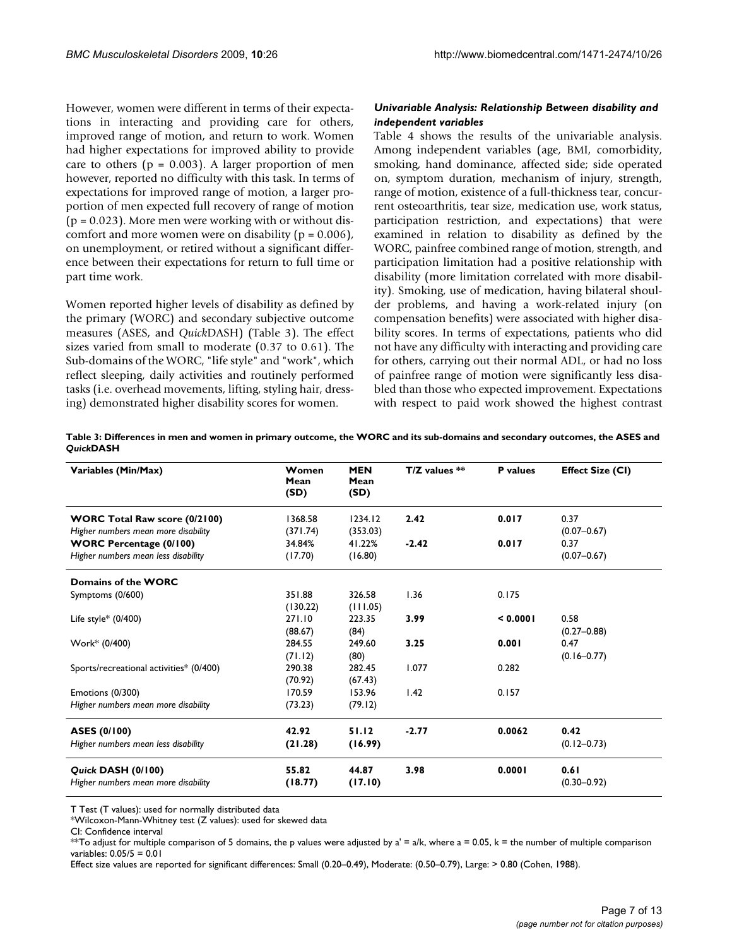However, women were different in terms of their expectations in interacting and providing care for others, improved range of motion, and return to work. Women had higher expectations for improved ability to provide care to others ( $p = 0.003$ ). A larger proportion of men however, reported no difficulty with this task. In terms of expectations for improved range of motion, a larger proportion of men expected full recovery of range of motion  $(p = 0.023)$ . More men were working with or without discomfort and more women were on disability  $(p = 0.006)$ , on unemployment, or retired without a significant difference between their expectations for return to full time or part time work.

Women reported higher levels of disability as defined by the primary (WORC) and secondary subjective outcome measures (ASES, and *Quick*DASH) (Table [3\)](#page-6-0). The effect sizes varied from small to moderate (0.37 to 0.61). The Sub-domains of the WORC, "life style" and "work", which reflect sleeping, daily activities and routinely performed tasks (i.e. overhead movements, lifting, styling hair, dressing) demonstrated higher disability scores for women.

#### *Univariable Analysis: Relationship Between disability and independent variables*

Table [4](#page-7-0) shows the results of the univariable analysis. Among independent variables (age, BMI, comorbidity, smoking, hand dominance, affected side; side operated on, symptom duration, mechanism of injury, strength, range of motion, existence of a full-thickness tear, concurrent osteoarthritis, tear size, medication use, work status, participation restriction, and expectations) that were examined in relation to disability as defined by the WORC, painfree combined range of motion, strength, and participation limitation had a positive relationship with disability (more limitation correlated with more disability). Smoking, use of medication, having bilateral shoulder problems, and having a work-related injury (on compensation benefits) were associated with higher disability scores. In terms of expectations, patients who did not have any difficulty with interacting and providing care for others, carrying out their normal ADL, or had no loss of painfree range of motion were significantly less disabled than those who expected improvement. Expectations with respect to paid work showed the highest contrast

<span id="page-6-0"></span>**Table 3: Differences in men and women in primary outcome, the WORC and its sub-domains and secondary outcomes, the ASES and**  *Quick***DASH**

| Variables (Min/Max)                     | Women<br>Mean<br>(SD) | <b>MEN</b><br>Mean<br>(SD) | $T/Z$ values $**$ | P values | <b>Effect Size (CI)</b> |
|-----------------------------------------|-----------------------|----------------------------|-------------------|----------|-------------------------|
| <b>WORC Total Raw score (0/2100)</b>    | 1368.58               | 1234.12                    | 2.42              | 0.017    | 0.37                    |
| Higher numbers mean more disability     | (371.74)              | (353.03)                   |                   |          | $(0.07 - 0.67)$         |
| <b>WORC Percentage (0/100)</b>          | 34.84%                | 41.22%                     | $-2.42$           | 0.017    | 0.37                    |
| Higher numbers mean less disability     | (17.70)               | (16.80)                    |                   |          | $(0.07 - 0.67)$         |
| Domains of the WORC                     |                       |                            |                   |          |                         |
| Symptoms (0/600)                        | 351.88                | 326.58                     | 1.36              | 0.175    |                         |
|                                         | (130.22)              | (111.05)                   |                   |          |                         |
| Life style $*$ (0/400)                  | 271.10                | 223.35                     | 3.99              | < 0.0001 | 0.58                    |
|                                         | (88.67)               | (84)                       |                   |          | $(0.27 - 0.88)$         |
| Work* (0/400)                           | 284.55                | 249.60                     | 3.25              | 0.001    | 0.47                    |
|                                         | (71.12)               | (80)                       |                   |          | $(0.16 - 0.77)$         |
| Sports/recreational activities* (0/400) | 290.38                | 282.45                     | 1.077             | 0.282    |                         |
|                                         | (70.92)               | (67.43)                    |                   |          |                         |
| Emotions (0/300)                        | 170.59                | 153.96                     | 1.42              | 0.157    |                         |
| Higher numbers mean more disability     | (73.23)               | (79.12)                    |                   |          |                         |
| ASES (0/100)                            | 42.92                 | 51.12                      | $-2.77$           | 0.0062   | 0.42                    |
| Higher numbers mean less disability     | (21.28)               | (16.99)                    |                   |          | $(0.12 - 0.73)$         |
| <b>Quick DASH (0/100)</b>               | 55.82                 | 44.87                      | 3.98              | 0.0001   | 0.61                    |
| Higher numbers mean more disability     | (18.77)               | (17.10)                    |                   |          | $(0.30 - 0.92)$         |

T Test (T values): used for normally distributed data

\*Wilcoxon-Mann-Whitney test (Z values): used for skewed data

CI: Confidence interval

\*\*To adjust for multiple comparison of 5 domains, the p values were adjusted by a' = a/k, where a = 0.05, k = the number of multiple comparison variables: 0.05/5 = 0.01

Effect size values are reported for significant differences: Small (0.20–0.49), Moderate: (0.50–0.79), Large: > 0.80 (Cohen, 1988).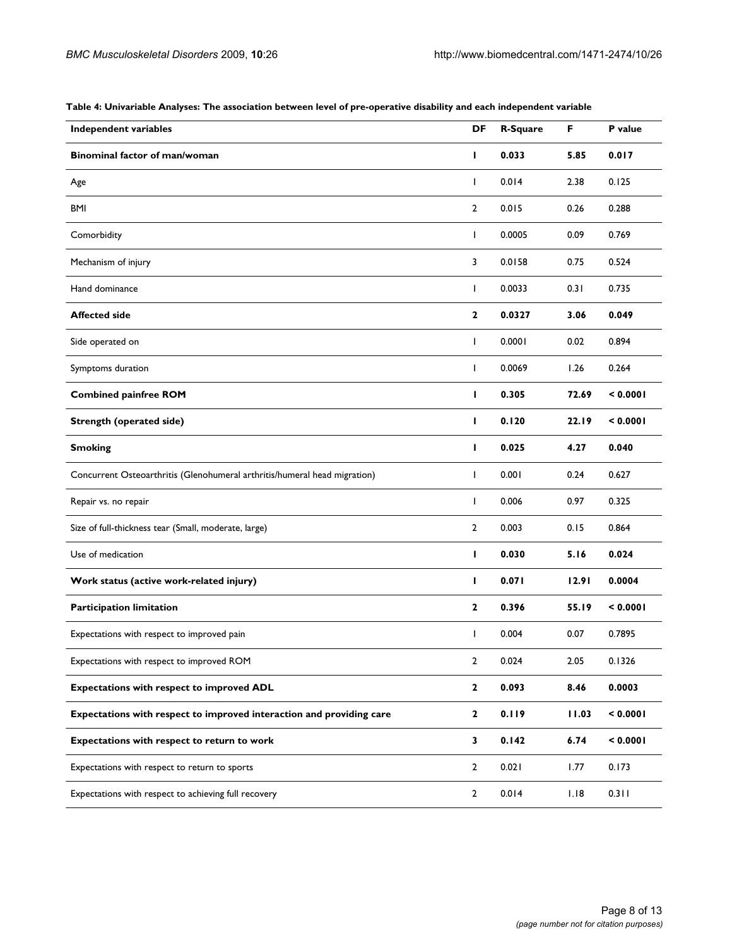| Independent variables                                                     | DF             | <b>R-Square</b> | F.    | P value  |
|---------------------------------------------------------------------------|----------------|-----------------|-------|----------|
| Binominal factor of man/woman                                             | L              | 0.033           | 5.85  | 0.017    |
| Age                                                                       | L              | 0.014           | 2.38  | 0.125    |
| <b>BMI</b>                                                                | $\overline{2}$ | 0.015           | 0.26  | 0.288    |
| Comorbidity                                                               | T              | 0.0005          | 0.09  | 0.769    |
| Mechanism of injury                                                       | 3              | 0.0158          | 0.75  | 0.524    |
| Hand dominance                                                            | T              | 0.0033          | 0.31  | 0.735    |
| <b>Affected side</b>                                                      | 2              | 0.0327          | 3.06  | 0.049    |
| Side operated on                                                          | T              | 0.0001          | 0.02  | 0.894    |
| Symptoms duration                                                         | T              | 0.0069          | 1.26  | 0.264    |
| <b>Combined painfree ROM</b>                                              | т              | 0.305           | 72.69 | 0.0001   |
| <b>Strength (operated side)</b>                                           | Т              | 0.120           | 22.19 | < 0.0001 |
| <b>Smoking</b>                                                            | Т              | 0.025           | 4.27  | 0.040    |
| Concurrent Osteoarthritis (Glenohumeral arthritis/humeral head migration) | T              | 0.001           | 0.24  | 0.627    |
| Repair vs. no repair                                                      | T              | 0.006           | 0.97  | 0.325    |
| Size of full-thickness tear (Small, moderate, large)                      | $\mathbf{2}$   | 0.003           | 0.15  | 0.864    |
| Use of medication                                                         | п              | 0.030           | 5.16  | 0.024    |
| Work status (active work-related injury)                                  | Т              | 0.071           | 12.91 | 0.0004   |
| <b>Participation limitation</b>                                           | $\mathbf{2}$   | 0.396           | 55.19 | < 0.0001 |
| Expectations with respect to improved pain                                | T              | 0.004           | 0.07  | 0.7895   |
| Expectations with respect to improved ROM                                 | $\overline{2}$ | 0.024           | 2.05  | 0.1326   |
| <b>Expectations with respect to improved ADL</b>                          | 2              | 0.093           | 8.46  | 0.0003   |
| Expectations with respect to improved interaction and providing care      | 2              | 0.119           | 11.03 | < 0.0001 |
| Expectations with respect to return to work                               | 3              | 0.142           | 6.74  | < 0.0001 |
| Expectations with respect to return to sports                             | $\overline{2}$ | 0.021           | 1.77  | 0.173    |
| Expectations with respect to achieving full recovery                      | $\overline{2}$ | 0.014           | 1.18  | 0.311    |

<span id="page-7-0"></span>**Table 4: Univariable Analyses: The association between level of pre-operative disability and each independent variable**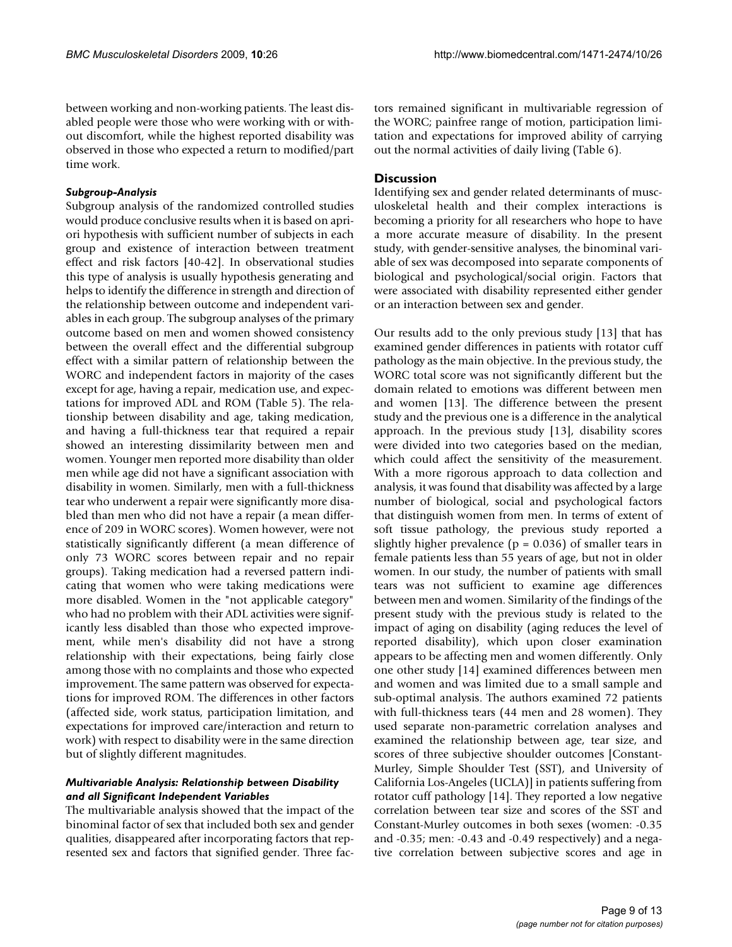between working and non-working patients. The least disabled people were those who were working with or without discomfort, while the highest reported disability was observed in those who expected a return to modified/part time work.

#### *Subgroup-Analysis*

Subgroup analysis of the randomized controlled studies would produce conclusive results when it is based on apriori hypothesis with sufficient number of subjects in each group and existence of interaction between treatment effect and risk factors [\[40-](#page-12-31)[42\]](#page-12-32). In observational studies this type of analysis is usually hypothesis generating and helps to identify the difference in strength and direction of the relationship between outcome and independent variables in each group. The subgroup analyses of the primary outcome based on men and women showed consistency between the overall effect and the differential subgroup effect with a similar pattern of relationship between the WORC and independent factors in majority of the cases except for age, having a repair, medication use, and expectations for improved ADL and ROM (Table [5](#page-9-0)). The relationship between disability and age, taking medication, and having a full-thickness tear that required a repair showed an interesting dissimilarity between men and women. Younger men reported more disability than older men while age did not have a significant association with disability in women. Similarly, men with a full-thickness tear who underwent a repair were significantly more disabled than men who did not have a repair (a mean difference of 209 in WORC scores). Women however, were not statistically significantly different (a mean difference of only 73 WORC scores between repair and no repair groups). Taking medication had a reversed pattern indicating that women who were taking medications were more disabled. Women in the "not applicable category" who had no problem with their ADL activities were significantly less disabled than those who expected improvement, while men's disability did not have a strong relationship with their expectations, being fairly close among those with no complaints and those who expected improvement. The same pattern was observed for expectations for improved ROM. The differences in other factors (affected side, work status, participation limitation, and expectations for improved care/interaction and return to work) with respect to disability were in the same direction but of slightly different magnitudes.

#### *Multivariable Analysis: Relationship between Disability and all Significant Independent Variables*

The multivariable analysis showed that the impact of the binominal factor of sex that included both sex and gender qualities, disappeared after incorporating factors that represented sex and factors that signified gender. Three factors remained significant in multivariable regression of the WORC; painfree range of motion, participation limitation and expectations for improved ability of carrying out the normal activities of daily living (Table [6\)](#page-10-0).

### **Discussion**

Identifying sex and gender related determinants of musculoskeletal health and their complex interactions is becoming a priority for all researchers who hope to have a more accurate measure of disability. In the present study, with gender-sensitive analyses, the binominal variable of sex was decomposed into separate components of biological and psychological/social origin. Factors that were associated with disability represented either gender or an interaction between sex and gender.

Our results add to the only previous study [\[13](#page-12-6)] that has examined gender differences in patients with rotator cuff pathology as the main objective. In the previous study, the WORC total score was not significantly different but the domain related to emotions was different between men and women [[13\]](#page-12-6). The difference between the present study and the previous one is a difference in the analytical approach. In the previous study [[13](#page-12-6)], disability scores were divided into two categories based on the median, which could affect the sensitivity of the measurement. With a more rigorous approach to data collection and analysis, it was found that disability was affected by a large number of biological, social and psychological factors that distinguish women from men. In terms of extent of soft tissue pathology, the previous study reported a slightly higher prevalence ( $p = 0.036$ ) of smaller tears in female patients less than 55 years of age, but not in older women. In our study, the number of patients with small tears was not sufficient to examine age differences between men and women. Similarity of the findings of the present study with the previous study is related to the impact of aging on disability (aging reduces the level of reported disability), which upon closer examination appears to be affecting men and women differently. Only one other study [[14\]](#page-12-8) examined differences between men and women and was limited due to a small sample and sub-optimal analysis. The authors examined 72 patients with full-thickness tears (44 men and 28 women). They used separate non-parametric correlation analyses and examined the relationship between age, tear size, and scores of three subjective shoulder outcomes [Constant-Murley, Simple Shoulder Test (SST), and University of California Los-Angeles (UCLA)] in patients suffering from rotator cuff pathology [\[14](#page-12-8)]. They reported a low negative correlation between tear size and scores of the SST and Constant-Murley outcomes in both sexes (women: -0.35 and -0.35; men: -0.43 and -0.49 respectively) and a negative correlation between subjective scores and age in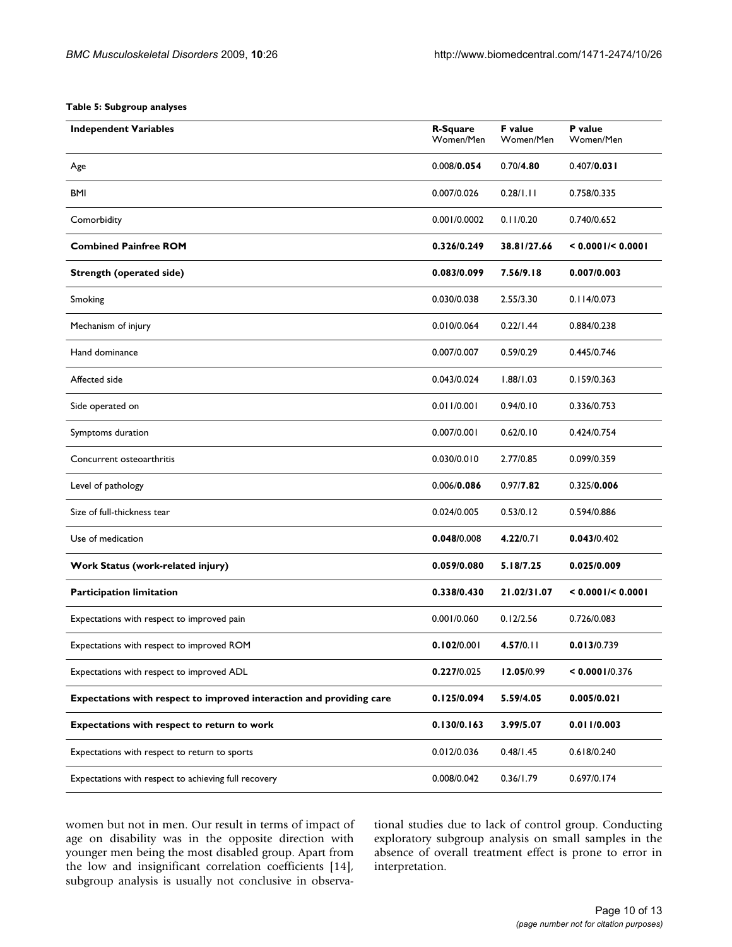# <span id="page-9-0"></span>**Table 5: Subgroup analyses**

| <b>Independent Variables</b>                                         | <b>R-Square</b><br>Women/Men | F value<br>Women/Men | P value<br>Women/Men        |
|----------------------------------------------------------------------|------------------------------|----------------------|-----------------------------|
| Age                                                                  | 0.008/0.054                  | 0.70/4.80            | 0.407/0.031                 |
| <b>BMI</b>                                                           | 0.007/0.026                  | 0.28/1.11            | 0.758/0.335                 |
| Comorbidity                                                          | 0.001/0.0002                 | 0.11/0.20            | 0.740/0.652                 |
| <b>Combined Painfree ROM</b>                                         | 0.326/0.249                  | 38.81/27.66          | < 0.0001/ <sub>0.0001</sub> |
| <b>Strength (operated side)</b>                                      | 0.083/0.099                  | 7.56/9.18            | 0.007/0.003                 |
| Smoking                                                              | 0.030/0.038                  | 2.55/3.30            | 0.114/0.073                 |
| Mechanism of injury                                                  | 0.010/0.064                  | 0.22/1.44            | 0.884/0.238                 |
| Hand dominance                                                       | 0.007/0.007                  | 0.59/0.29            | 0.445/0.746                 |
| Affected side                                                        | 0.043/0.024                  | 1.88/1.03            | 0.159/0.363                 |
| Side operated on                                                     | 0.011/0.001                  | 0.94/0.10            | 0.336/0.753                 |
| Symptoms duration                                                    | 0.007/0.001                  | 0.62/0.10            | 0.424/0.754                 |
| Concurrent osteoarthritis                                            | 0.030/0.010                  | 2.77/0.85            | 0.099/0.359                 |
| Level of pathology                                                   | 0.006/0.086                  | 0.97/7.82            | 0.325/0.006                 |
| Size of full-thickness tear                                          | 0.024/0.005                  | 0.53/0.12            | 0.594/0.886                 |
| Use of medication                                                    | 0.048/0.008                  | 4.22/0.71            | 0.043/0.402                 |
| Work Status (work-related injury)                                    | 0.059/0.080                  | 5.18/7.25            | 0.025/0.009                 |
| <b>Participation limitation</b>                                      | 0.338/0.430                  | 21.02/31.07          | < 0.0001/ <sub>0.0001</sub> |
| Expectations with respect to improved pain                           | 0.001/0.060                  | 0.12/2.56            | 0.726/0.083                 |
| Expectations with respect to improved ROM                            | 0.102/0.001                  | 4.57/0.11            | 0.013/0.739                 |
| Expectations with respect to improved ADL                            | 0.227/0.025                  | 12.05/0.99           | < 0.0001/0.376              |
| Expectations with respect to improved interaction and providing care | 0.125/0.094                  | 5.59/4.05            | 0.005/0.021                 |
| Expectations with respect to return to work                          | 0.130/0.163                  | 3.99/5.07            | 0.011/0.003                 |
| Expectations with respect to return to sports                        | 0.012/0.036                  | 0.48/1.45            | 0.618/0.240                 |
| Expectations with respect to achieving full recovery                 | 0.008/0.042                  | 0.36/1.79            | 0.697/0.174                 |

women but not in men. Our result in terms of impact of age on disability was in the opposite direction with younger men being the most disabled group. Apart from the low and insignificant correlation coefficients [\[14](#page-12-8)], subgroup analysis is usually not conclusive in observational studies due to lack of control group. Conducting exploratory subgroup analysis on small samples in the absence of overall treatment effect is prone to error in interpretation.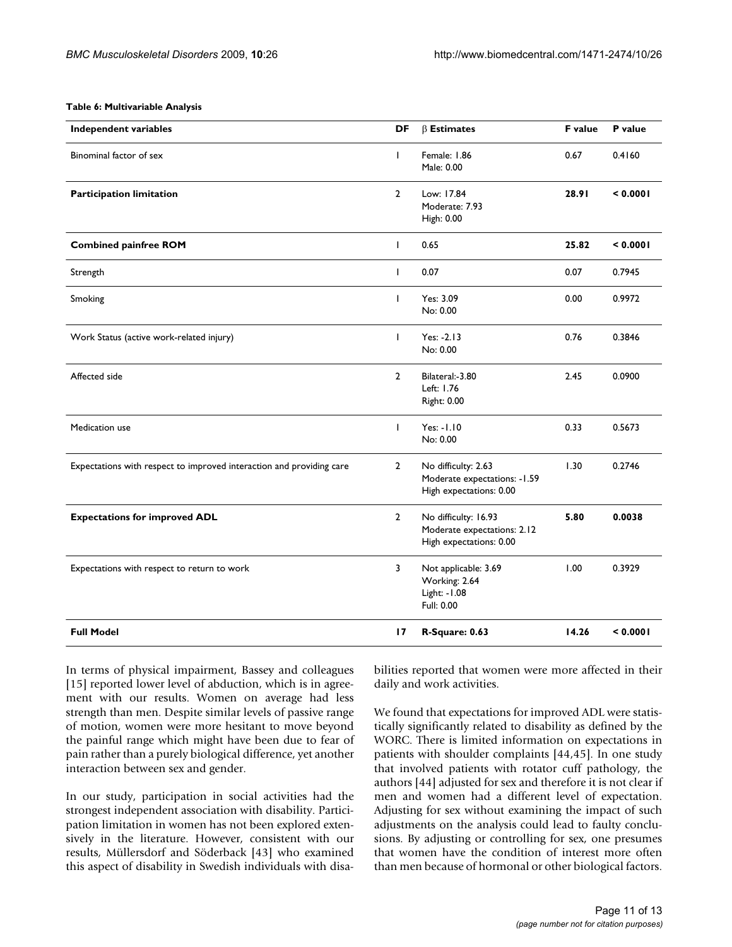#### <span id="page-10-0"></span>**Table 6: Multivariable Analysis**

| <b>Independent variables</b>                                         | DF             | $\beta$ Estimates                                                              | F value | P value  |
|----------------------------------------------------------------------|----------------|--------------------------------------------------------------------------------|---------|----------|
| Binominal factor of sex                                              | L              | Female: 1.86<br>Male: 0.00                                                     | 0.67    | 0.4160   |
| <b>Participation limitation</b>                                      | $\overline{2}$ | Low: 17.84<br>Moderate: 7.93<br>High: 0.00                                     | 28.91   | < 0.0001 |
| <b>Combined painfree ROM</b>                                         | L              | 0.65                                                                           | 25.82   | < 0.0001 |
| Strength                                                             | L              | 0.07                                                                           | 0.07    | 0.7945   |
| Smoking                                                              | L              | Yes: 3.09<br>No: 0.00                                                          | 0.00    | 0.9972   |
| Work Status (active work-related injury)                             | L              | $Yes: -2.13$<br>No: 0.00                                                       | 0.76    | 0.3846   |
| Affected side                                                        | $\overline{2}$ | Bilateral:-3.80<br>Left: 1.76<br><b>Right: 0.00</b>                            | 2.45    | 0.0900   |
| Medication use                                                       | L              | Yes: -1.10<br>No: 0.00                                                         | 0.33    | 0.5673   |
| Expectations with respect to improved interaction and providing care | 2              | No difficulty: 2.63<br>Moderate expectations: -1.59<br>High expectations: 0.00 | 1.30    | 0.2746   |
| <b>Expectations for improved ADL</b>                                 | $\overline{2}$ | No difficulty: 16.93<br>Moderate expectations: 2.12<br>High expectations: 0.00 | 5.80    | 0.0038   |
| Expectations with respect to return to work                          | 3              | Not applicable: 3.69<br>Working: 2.64<br>Light: - 1.08<br>Full: 0.00           | 1.00    | 0.3929   |
| <b>Full Model</b>                                                    | 17             | R-Square: 0.63                                                                 | 14.26   | < 0.0001 |

In terms of physical impairment, Bassey and colleagues [[15](#page-12-7)] reported lower level of abduction, which is in agreement with our results. Women on average had less strength than men. Despite similar levels of passive range of motion, women were more hesitant to move beyond the painful range which might have been due to fear of pain rather than a purely biological difference, yet another interaction between sex and gender.

In our study, participation in social activities had the strongest independent association with disability. Participation limitation in women has not been explored extensively in the literature. However, consistent with our results, Müllersdorf and Söderback [[43\]](#page-12-33) who examined this aspect of disability in Swedish individuals with disabilities reported that women were more affected in their daily and work activities.

We found that expectations for improved ADL were statistically significantly related to disability as defined by the WORC. There is limited information on expectations in patients with shoulder complaints [\[44](#page-12-34),[45\]](#page-12-35). In one study that involved patients with rotator cuff pathology, the authors [[44](#page-12-34)] adjusted for sex and therefore it is not clear if men and women had a different level of expectation. Adjusting for sex without examining the impact of such adjustments on the analysis could lead to faulty conclusions. By adjusting or controlling for sex, one presumes that women have the condition of interest more often than men because of hormonal or other biological factors.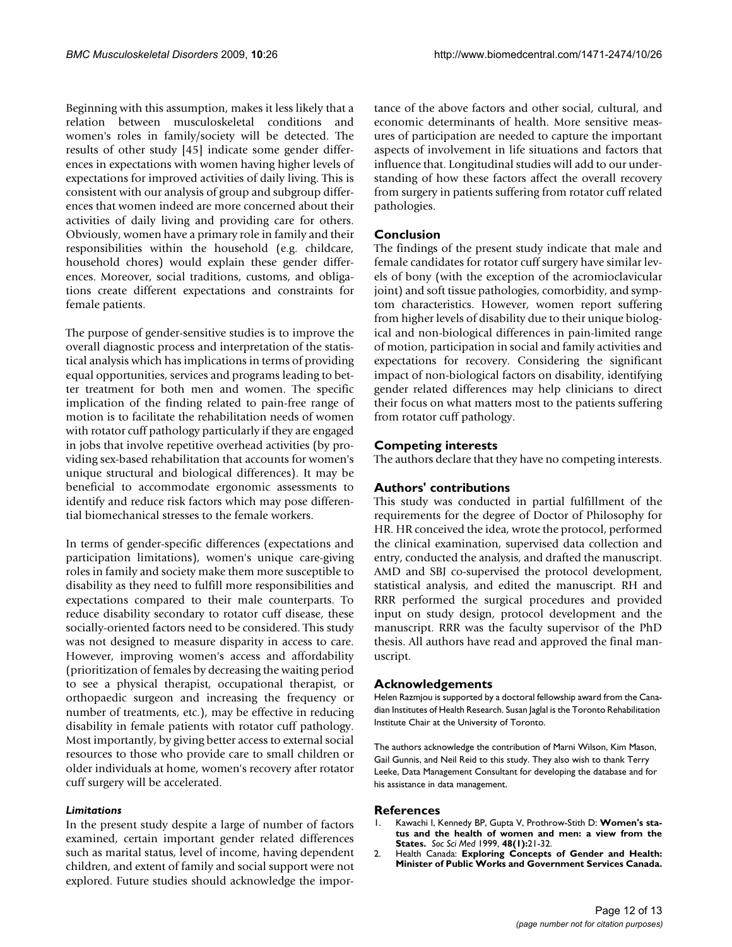Beginning with this assumption, makes it less likely that a relation between musculoskeletal conditions and women's roles in family/society will be detected. The results of other study [[45](#page-12-35)] indicate some gender differences in expectations with women having higher levels of expectations for improved activities of daily living. This is consistent with our analysis of group and subgroup differences that women indeed are more concerned about their activities of daily living and providing care for others. Obviously, women have a primary role in family and their responsibilities within the household (e.g. childcare, household chores) would explain these gender differences. Moreover, social traditions, customs, and obligations create different expectations and constraints for female patients.

The purpose of gender-sensitive studies is to improve the overall diagnostic process and interpretation of the statistical analysis which has implications in terms of providing equal opportunities, services and programs leading to better treatment for both men and women. The specific implication of the finding related to pain-free range of motion is to facilitate the rehabilitation needs of women with rotator cuff pathology particularly if they are engaged in jobs that involve repetitive overhead activities (by providing sex-based rehabilitation that accounts for women's unique structural and biological differences). It may be beneficial to accommodate ergonomic assessments to identify and reduce risk factors which may pose differential biomechanical stresses to the female workers.

In terms of gender-specific differences (expectations and participation limitations), women's unique care-giving roles in family and society make them more susceptible to disability as they need to fulfill more responsibilities and expectations compared to their male counterparts. To reduce disability secondary to rotator cuff disease, these socially-oriented factors need to be considered. This study was not designed to measure disparity in access to care. However, improving women's access and affordability (prioritization of females by decreasing the waiting period to see a physical therapist, occupational therapist, or orthopaedic surgeon and increasing the frequency or number of treatments, etc.), may be effective in reducing disability in female patients with rotator cuff pathology. Most importantly, by giving better access to external social resources to those who provide care to small children or older individuals at home, women's recovery after rotator cuff surgery will be accelerated.

#### *Limitations*

In the present study despite a large of number of factors examined, certain important gender related differences such as marital status, level of income, having dependent children, and extent of family and social support were not explored. Future studies should acknowledge the importance of the above factors and other social, cultural, and economic determinants of health. More sensitive measures of participation are needed to capture the important aspects of involvement in life situations and factors that influence that. Longitudinal studies will add to our understanding of how these factors affect the overall recovery from surgery in patients suffering from rotator cuff related pathologies.

# **Conclusion**

The findings of the present study indicate that male and female candidates for rotator cuff surgery have similar levels of bony (with the exception of the acromioclavicular joint) and soft tissue pathologies, comorbidity, and symptom characteristics. However, women report suffering from higher levels of disability due to their unique biological and non-biological differences in pain-limited range of motion, participation in social and family activities and expectations for recovery. Considering the significant impact of non-biological factors on disability, identifying gender related differences may help clinicians to direct their focus on what matters most to the patients suffering from rotator cuff pathology.

# **Competing interests**

The authors declare that they have no competing interests.

# **Authors' contributions**

This study was conducted in partial fulfillment of the requirements for the degree of Doctor of Philosophy for HR. HR conceived the idea, wrote the protocol, performed the clinical examination, supervised data collection and entry, conducted the analysis, and drafted the manuscript. AMD and SBJ co-supervised the protocol development, statistical analysis, and edited the manuscript. RH and RRR performed the surgical procedures and provided input on study design, protocol development and the manuscript. RRR was the faculty supervisor of the PhD thesis. All authors have read and approved the final manuscript.

# **Acknowledgements**

Helen Razmjou is supported by a doctoral fellowship award from the Canadian Institutes of Health Research. Susan Jaglal is the Toronto Rehabilitation Institute Chair at the University of Toronto.

The authors acknowledge the contribution of Marni Wilson, Kim Mason, Gail Gunnis, and Neil Reid to this study. They also wish to thank Terry Leeke, Data Management Consultant for developing the database and for his assistance in data management.

#### **References**

- <span id="page-11-0"></span>1. Kawachi I, Kennedy BP, Gupta V, Prothrow-Stith D: **[Women's sta](http://www.ncbi.nlm.nih.gov/entrez/query.fcgi?cmd=Retrieve&db=PubMed&dopt=Abstract&list_uids=10048835)[tus and the health of women and men: a view from the](http://www.ncbi.nlm.nih.gov/entrez/query.fcgi?cmd=Retrieve&db=PubMed&dopt=Abstract&list_uids=10048835) [States.](http://www.ncbi.nlm.nih.gov/entrez/query.fcgi?cmd=Retrieve&db=PubMed&dopt=Abstract&list_uids=10048835)** *Soc Sci Med* 1999, **48(1):**21-32.
- <span id="page-11-1"></span>2. Health Canada: **Exploring Concepts of Gender and Health: Minister of Public Works and Government Services Canada.**